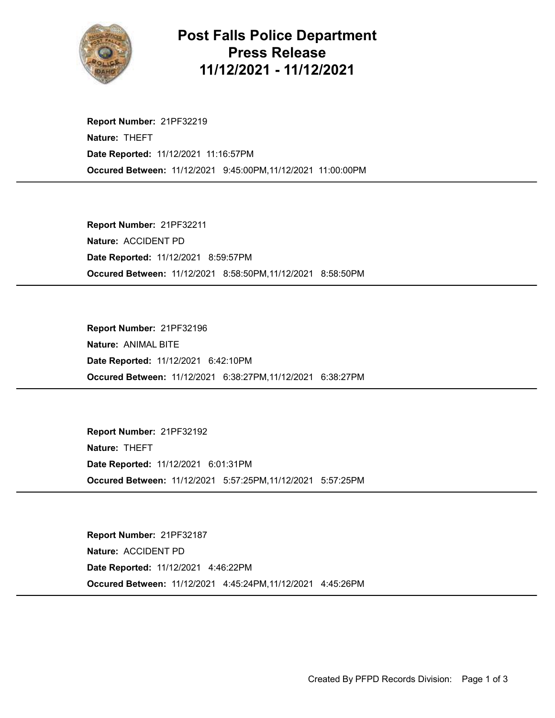

## Post Falls Police Department Press Release 11/12/2021 - 11/12/2021

Occured Between: 11/12/2021 9:45:00PM,11/12/2021 11:00:00PM Report Number: 21PF32219 Nature: THEFT Date Reported: 11/12/2021 11:16:57PM

Occured Between: 11/12/2021 8:58:50PM,11/12/2021 8:58:50PM Report Number: 21PF32211 Nature: ACCIDENT PD Date Reported: 11/12/2021 8:59:57PM

Occured Between: 11/12/2021 6:38:27PM,11/12/2021 6:38:27PM Report Number: 21PF32196 Nature: ANIMAL BITE Date Reported: 11/12/2021 6:42:10PM

Occured Between: 11/12/2021 5:57:25PM,11/12/2021 5:57:25PM Report Number: 21PF32192 Nature: THEFT Date Reported: 11/12/2021 6:01:31PM

Occured Between: 11/12/2021 4:45:24PM,11/12/2021 4:45:26PM Report Number: 21PF32187 Nature: ACCIDENT PD Date Reported: 11/12/2021 4:46:22PM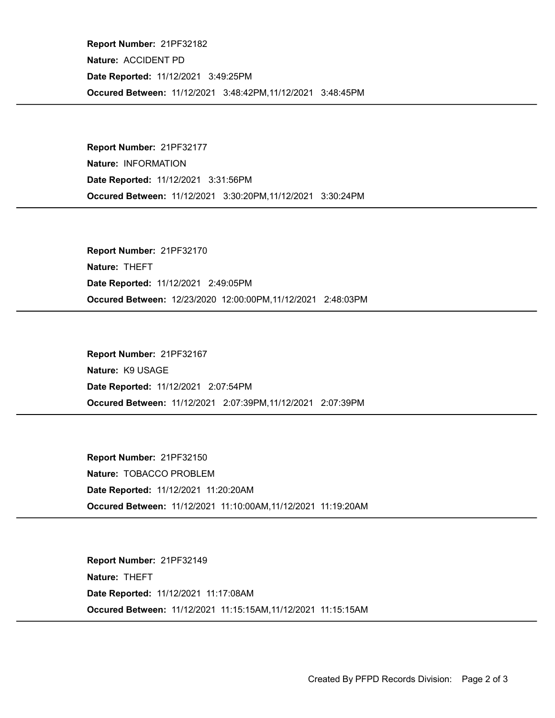Occured Between: 11/12/2021 3:48:42PM,11/12/2021 3:48:45PM Report Number: 21PF32182 Nature: ACCIDENT PD Date Reported: 11/12/2021 3:49:25PM

Occured Between: 11/12/2021 3:30:20PM,11/12/2021 3:30:24PM Report Number: 21PF32177 Nature: INFORMATION Date Reported: 11/12/2021 3:31:56PM

Occured Between: 12/23/2020 12:00:00PM,11/12/2021 2:48:03PM Report Number: 21PF32170 Nature: THEFT Date Reported: 11/12/2021 2:49:05PM

Occured Between: 11/12/2021 2:07:39PM,11/12/2021 2:07:39PM Report Number: 21PF32167 Nature: K9 USAGE Date Reported: 11/12/2021 2:07:54PM

Occured Between: 11/12/2021 11:10:00AM,11/12/2021 11:19:20AM Report Number: 21PF32150 Nature: TOBACCO PROBLEM Date Reported: 11/12/2021 11:20:20AM

Occured Between: 11/12/2021 11:15:15AM,11/12/2021 11:15:15AM Report Number: 21PF32149 Nature: THEFT Date Reported: 11/12/2021 11:17:08AM